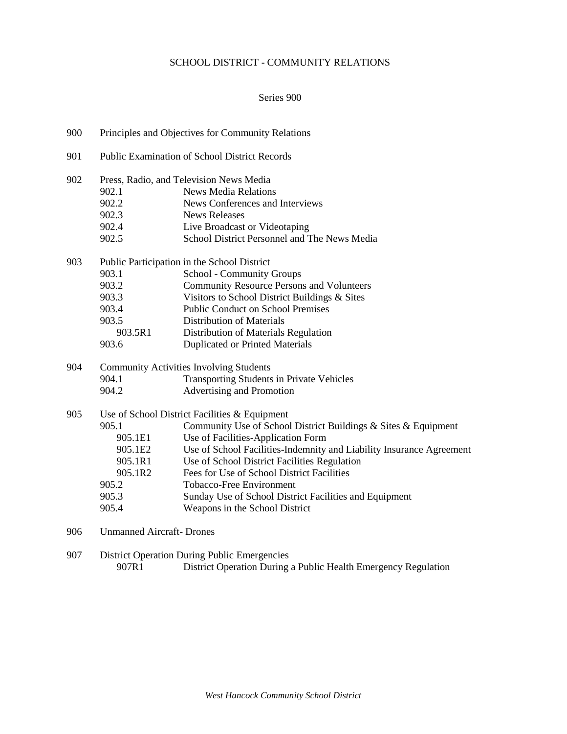# SCHOOL DISTRICT - COMMUNITY RELATIONS

## Series 900

| 900 | Principles and Objectives for Community Relations |                                                                      |  |  |  |
|-----|---------------------------------------------------|----------------------------------------------------------------------|--|--|--|
| 901 | Public Examination of School District Records     |                                                                      |  |  |  |
| 902 |                                                   | Press, Radio, and Television News Media                              |  |  |  |
|     | 902.1                                             | <b>News Media Relations</b>                                          |  |  |  |
|     | 902.2                                             | News Conferences and Interviews                                      |  |  |  |
|     | 902.3                                             | <b>News Releases</b>                                                 |  |  |  |
|     | 902.4                                             | Live Broadcast or Videotaping                                        |  |  |  |
|     | 902.5                                             | School District Personnel and The News Media                         |  |  |  |
| 903 |                                                   | Public Participation in the School District                          |  |  |  |
|     | 903.1                                             | School - Community Groups                                            |  |  |  |
|     | 903.2                                             | <b>Community Resource Persons and Volunteers</b>                     |  |  |  |
|     | 903.3                                             | Visitors to School District Buildings & Sites                        |  |  |  |
|     | 903.4                                             | <b>Public Conduct on School Premises</b>                             |  |  |  |
|     | 903.5                                             | <b>Distribution of Materials</b>                                     |  |  |  |
|     | 903.5R1                                           | Distribution of Materials Regulation                                 |  |  |  |
|     | 903.6                                             | <b>Duplicated or Printed Materials</b>                               |  |  |  |
| 904 | <b>Community Activities Involving Students</b>    |                                                                      |  |  |  |
|     | 904.1                                             | Transporting Students in Private Vehicles                            |  |  |  |
|     | 904.2                                             | Advertising and Promotion                                            |  |  |  |
| 905 | Use of School District Facilities & Equipment     |                                                                      |  |  |  |
|     | 905.1                                             | Community Use of School District Buildings & Sites & Equipment       |  |  |  |
|     | 905.1E1                                           | Use of Facilities-Application Form                                   |  |  |  |
|     | 905.1E2                                           | Use of School Facilities-Indemnity and Liability Insurance Agreement |  |  |  |
|     | 905.1R1                                           | Use of School District Facilities Regulation                         |  |  |  |
|     | 905.1R2                                           | Fees for Use of School District Facilities                           |  |  |  |
|     | 905.2                                             | <b>Tobacco-Free Environment</b>                                      |  |  |  |
|     | 905.3                                             | Sunday Use of School District Facilities and Equipment               |  |  |  |
|     | 905.4                                             | Weapons in the School District                                       |  |  |  |
| 906 | <b>Unmanned Aircraft-Drones</b>                   |                                                                      |  |  |  |
| 907 |                                                   | <b>District Operation During Public Emergencies</b>                  |  |  |  |
|     | 907R1                                             | District Operation During a Public Health Emergency Regulation       |  |  |  |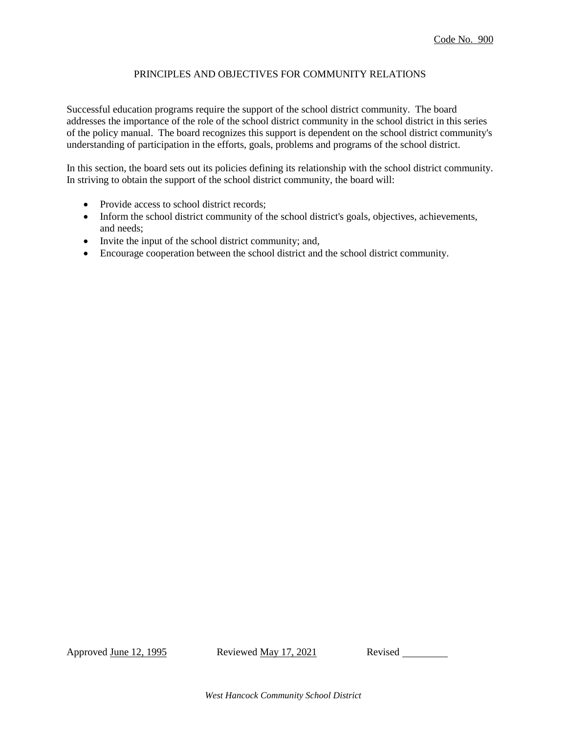## PRINCIPLES AND OBJECTIVES FOR COMMUNITY RELATIONS

Successful education programs require the support of the school district community. The board addresses the importance of the role of the school district community in the school district in this series of the policy manual. The board recognizes this support is dependent on the school district community's understanding of participation in the efforts, goals, problems and programs of the school district.

In this section, the board sets out its policies defining its relationship with the school district community. In striving to obtain the support of the school district community, the board will:

- Provide access to school district records;
- Inform the school district community of the school district's goals, objectives, achievements, and needs;
- Invite the input of the school district community; and,
- Encourage cooperation between the school district and the school district community.

Approved June 12, 1995 Reviewed May 17, 2021 Revised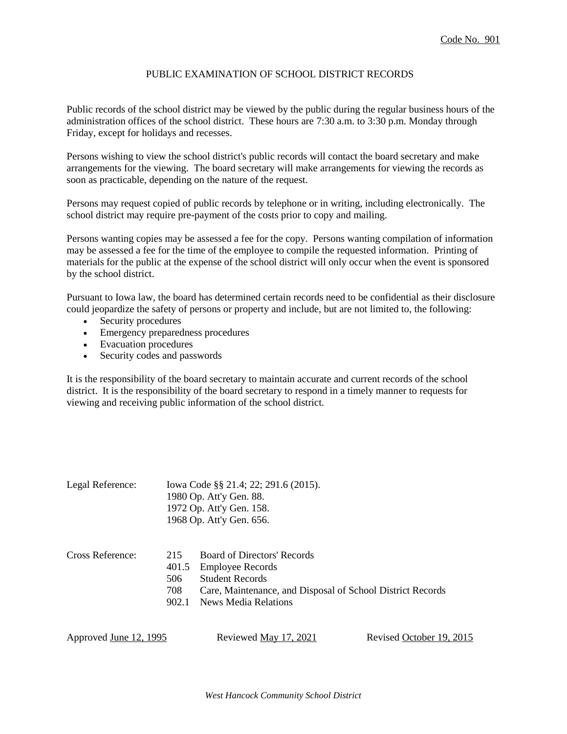### PUBLIC EXAMINATION OF SCHOOL DISTRICT RECORDS

Public records of the school district may be viewed by the public during the regular business hours of the administration offices of the school district. These hours are 7:30 a.m. to 3:30 p.m. Monday through Friday, except for holidays and recesses.

Persons wishing to view the school district's public records will contact the board secretary and make arrangements for the viewing. The board secretary will make arrangements for viewing the records as soon as practicable, depending on the nature of the request.

Persons may request copied of public records by telephone or in writing, including electronically. The school district may require pre-payment of the costs prior to copy and mailing.

Persons wanting copies may be assessed a fee for the copy. Persons wanting compilation of information may be assessed a fee for the time of the employee to compile the requested information. Printing of materials for the public at the expense of the school district will only occur when the event is sponsored by the school district.

Pursuant to Iowa law, the board has determined certain records need to be confidential as their disclosure could jeopardize the safety of persons or property and include, but are not limited to, the following:

- Security procedures
- Emergency preparedness procedures
- Evacuation procedures
- Security codes and passwords

It is the responsibility of the board secretary to maintain accurate and current records of the school district. It is the responsibility of the board secretary to respond in a timely manner to requests for viewing and receiving public information of the school district.

| Legal Reference: |                                     | Iowa Code §§ 21.4; 22; 291.6 (2015).<br>1980 Op. Att'y Gen. 88.<br>1972 Op. Att'y Gen. 158.<br>1968 Op. Att'y Gen. 656.                                                |
|------------------|-------------------------------------|------------------------------------------------------------------------------------------------------------------------------------------------------------------------|
| Cross Reference: | 215<br>401.5<br>506<br>708<br>902.1 | Board of Directors' Records<br><b>Employee Records</b><br><b>Student Records</b><br>Care, Maintenance, and Disposal of School District Records<br>News Media Relations |

| Approved <u>June 12, 1995</u> | Reviewed May 17, 2021 | Revised October 19, 2015 |
|-------------------------------|-----------------------|--------------------------|
|-------------------------------|-----------------------|--------------------------|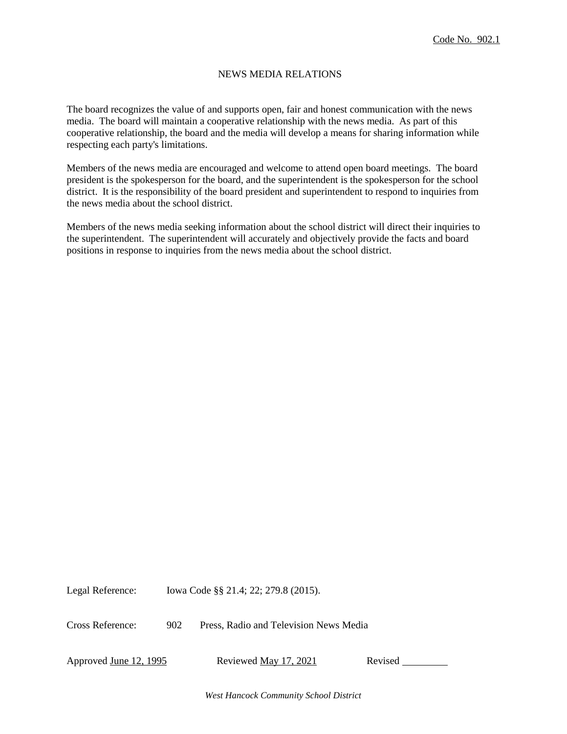## NEWS MEDIA RELATIONS

The board recognizes the value of and supports open, fair and honest communication with the news media. The board will maintain a cooperative relationship with the news media. As part of this cooperative relationship, the board and the media will develop a means for sharing information while respecting each party's limitations.

Members of the news media are encouraged and welcome to attend open board meetings. The board president is the spokesperson for the board, and the superintendent is the spokesperson for the school district. It is the responsibility of the board president and superintendent to respond to inquiries from the news media about the school district.

Members of the news media seeking information about the school district will direct their inquiries to the superintendent. The superintendent will accurately and objectively provide the facts and board positions in response to inquiries from the news media about the school district.

Legal Reference: Iowa Code §§ 21.4; 22; 279.8 (2015).

Cross Reference: 902 Press, Radio and Television News Media

Approved June 12, 1995 Reviewed May 17, 2021 Revised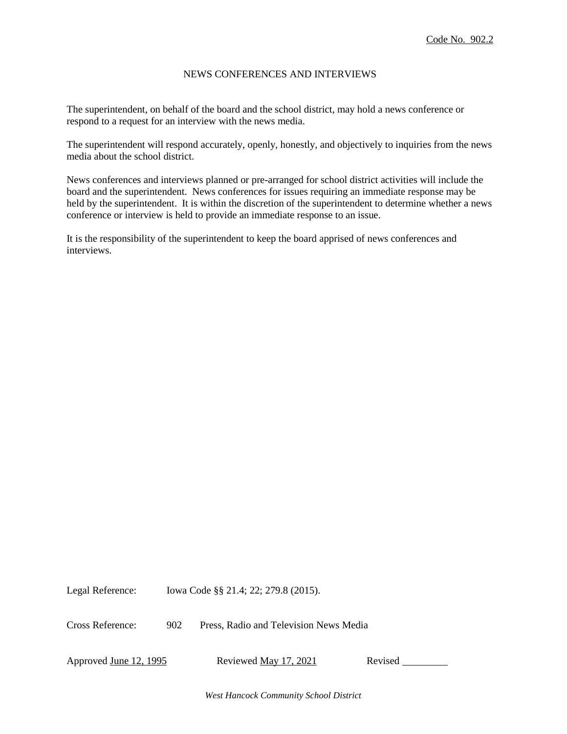### NEWS CONFERENCES AND INTERVIEWS

The superintendent, on behalf of the board and the school district, may hold a news conference or respond to a request for an interview with the news media.

The superintendent will respond accurately, openly, honestly, and objectively to inquiries from the news media about the school district.

News conferences and interviews planned or pre-arranged for school district activities will include the board and the superintendent. News conferences for issues requiring an immediate response may be held by the superintendent. It is within the discretion of the superintendent to determine whether a news conference or interview is held to provide an immediate response to an issue.

It is the responsibility of the superintendent to keep the board apprised of news conferences and interviews.

Legal Reference: Iowa Code §§ 21.4; 22; 279.8 (2015).

Cross Reference: 902 Press, Radio and Television News Media

Approved <u>June 12, 1995</u> Reviewed <u>May 17, 2021</u> Revised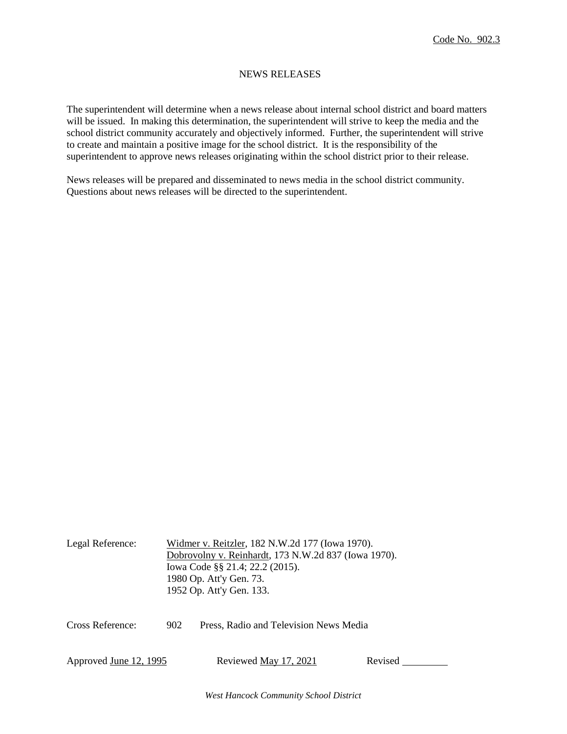### NEWS RELEASES

The superintendent will determine when a news release about internal school district and board matters will be issued. In making this determination, the superintendent will strive to keep the media and the school district community accurately and objectively informed. Further, the superintendent will strive to create and maintain a positive image for the school district. It is the responsibility of the superintendent to approve news releases originating within the school district prior to their release.

News releases will be prepared and disseminated to news media in the school district community. Questions about news releases will be directed to the superintendent.

| Legal Reference:              | Widmer v. Reitzler, 182 N.W.2d 177 (Iowa 1970).      |                                        |         |  |  |  |  |
|-------------------------------|------------------------------------------------------|----------------------------------------|---------|--|--|--|--|
|                               | Dobrovolny v. Reinhardt, 173 N.W.2d 837 (Iowa 1970). |                                        |         |  |  |  |  |
|                               |                                                      | Iowa Code §§ 21.4; 22.2 (2015).        |         |  |  |  |  |
|                               | 1980 Op. Att'y Gen. 73.                              |                                        |         |  |  |  |  |
|                               | 1952 Op. Att'y Gen. 133.                             |                                        |         |  |  |  |  |
|                               |                                                      |                                        |         |  |  |  |  |
| Cross Reference:              | 902                                                  | Press, Radio and Television News Media |         |  |  |  |  |
|                               |                                                      |                                        |         |  |  |  |  |
| Approved <u>June 12, 1995</u> |                                                      | Reviewed <u>May 17, 2021</u>           | Revised |  |  |  |  |
|                               |                                                      |                                        |         |  |  |  |  |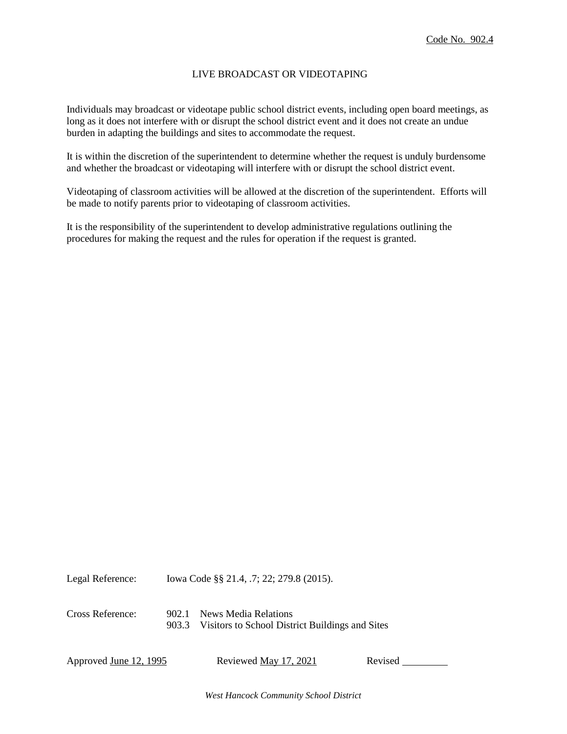## LIVE BROADCAST OR VIDEOTAPING

Individuals may broadcast or videotape public school district events, including open board meetings, as long as it does not interfere with or disrupt the school district event and it does not create an undue burden in adapting the buildings and sites to accommodate the request.

It is within the discretion of the superintendent to determine whether the request is unduly burdensome and whether the broadcast or videotaping will interfere with or disrupt the school district event.

Videotaping of classroom activities will be allowed at the discretion of the superintendent. Efforts will be made to notify parents prior to videotaping of classroom activities.

It is the responsibility of the superintendent to develop administrative regulations outlining the procedures for making the request and the rules for operation if the request is granted.

Legal Reference: Iowa Code §§ 21.4, .7; 22; 279.8 (2015). Cross Reference: 902.1 News Media Relations 903.3 Visitors to School District Buildings and Sites

Approved June 12, 1995 Reviewed May 17, 2021 Revised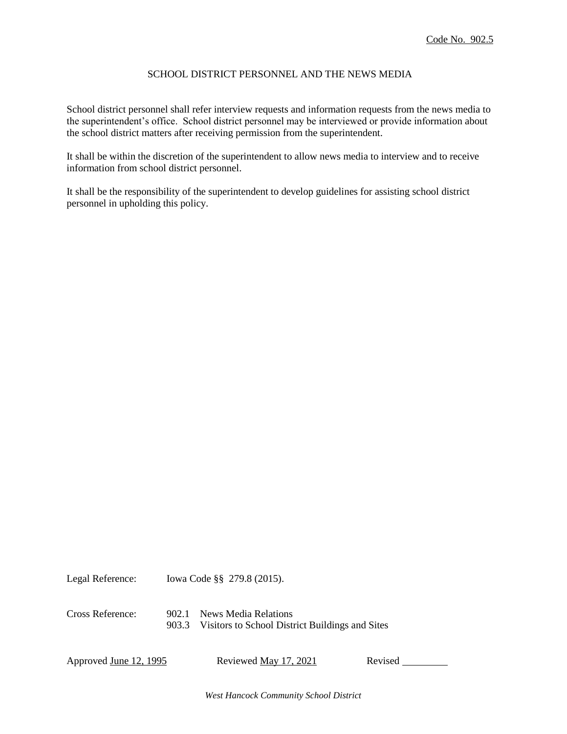### SCHOOL DISTRICT PERSONNEL AND THE NEWS MEDIA

School district personnel shall refer interview requests and information requests from the news media to the superintendent's office. School district personnel may be interviewed or provide information about the school district matters after receiving permission from the superintendent.

It shall be within the discretion of the superintendent to allow news media to interview and to receive information from school district personnel.

It shall be the responsibility of the superintendent to develop guidelines for assisting school district personnel in upholding this policy.

Legal Reference: Iowa Code §§ 279.8 (2015). Cross Reference: 902.1 News Media Relations 903.3 Visitors to School District Buildings and Sites

Approved <u>June 12, 1995</u> Reviewed <u>May 17, 2021</u> Revised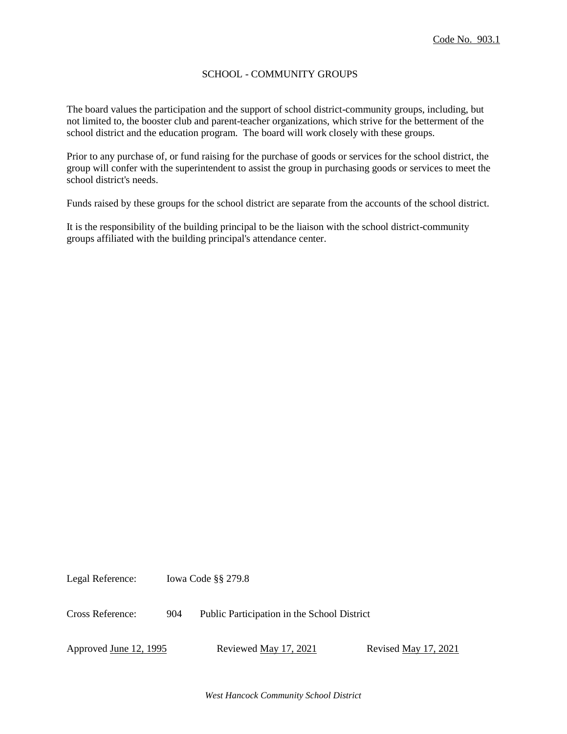## SCHOOL - COMMUNITY GROUPS

The board values the participation and the support of school district-community groups, including, but not limited to, the booster club and parent-teacher organizations, which strive for the betterment of the school district and the education program. The board will work closely with these groups.

Prior to any purchase of, or fund raising for the purchase of goods or services for the school district, the group will confer with the superintendent to assist the group in purchasing goods or services to meet the school district's needs.

Funds raised by these groups for the school district are separate from the accounts of the school district.

It is the responsibility of the building principal to be the liaison with the school district-community groups affiliated with the building principal's attendance center.

Legal Reference: Iowa Code §§ 279.8

Cross Reference: 904 Public Participation in the School District

Approved June 12, 1995 Reviewed May 17, 2021 Revised May 17, 2021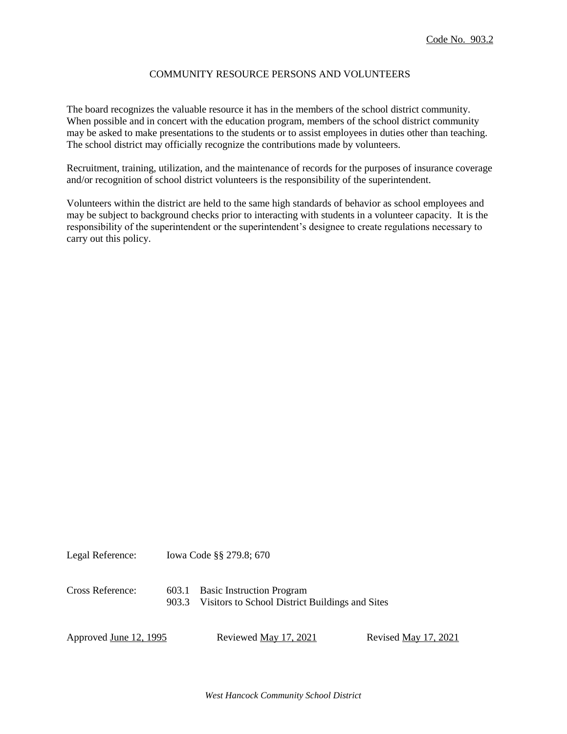#### COMMUNITY RESOURCE PERSONS AND VOLUNTEERS

The board recognizes the valuable resource it has in the members of the school district community. When possible and in concert with the education program, members of the school district community may be asked to make presentations to the students or to assist employees in duties other than teaching. The school district may officially recognize the contributions made by volunteers.

Recruitment, training, utilization, and the maintenance of records for the purposes of insurance coverage and/or recognition of school district volunteers is the responsibility of the superintendent.

Volunteers within the district are held to the same high standards of behavior as school employees and may be subject to background checks prior to interacting with students in a volunteer capacity. It is the responsibility of the superintendent or the superintendent's designee to create regulations necessary to carry out this policy.

| Legal Reference:       |       | lowa Code §§ 279.8; 670                                                            |                      |
|------------------------|-------|------------------------------------------------------------------------------------|----------------------|
| Cross Reference:       | 903.3 | 603.1 Basic Instruction Program<br>Visitors to School District Buildings and Sites |                      |
| Approved June 12, 1995 |       | Reviewed May 17, 2021                                                              | Revised May 17, 2021 |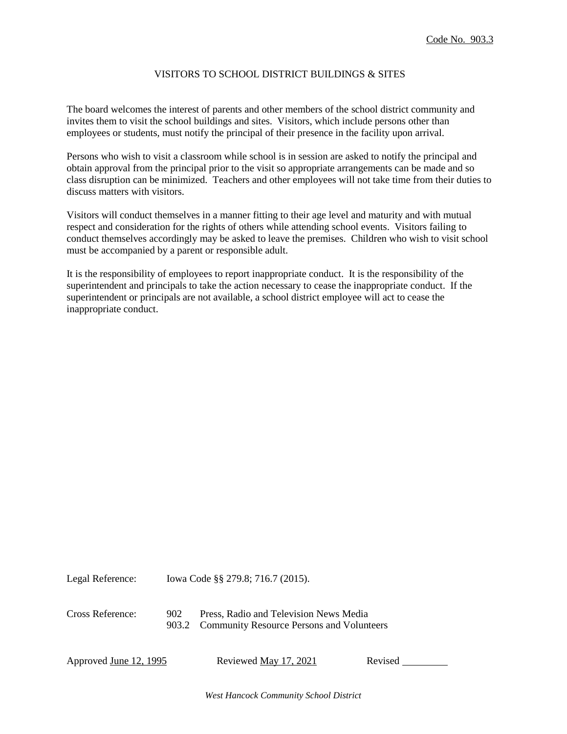### VISITORS TO SCHOOL DISTRICT BUILDINGS & SITES

The board welcomes the interest of parents and other members of the school district community and invites them to visit the school buildings and sites. Visitors, which include persons other than employees or students, must notify the principal of their presence in the facility upon arrival.

Persons who wish to visit a classroom while school is in session are asked to notify the principal and obtain approval from the principal prior to the visit so appropriate arrangements can be made and so class disruption can be minimized. Teachers and other employees will not take time from their duties to discuss matters with visitors.

Visitors will conduct themselves in a manner fitting to their age level and maturity and with mutual respect and consideration for the rights of others while attending school events. Visitors failing to conduct themselves accordingly may be asked to leave the premises. Children who wish to visit school must be accompanied by a parent or responsible adult.

It is the responsibility of employees to report inappropriate conduct. It is the responsibility of the superintendent and principals to take the action necessary to cease the inappropriate conduct. If the superintendent or principals are not available, a school district employee will act to cease the inappropriate conduct.

Legal Reference: Iowa Code §§ 279.8; 716.7 (2015). Cross Reference: 902 Press, Radio and Television News Media 903.2 Community Resource Persons and Volunteers

Approved June 12, 1995 Reviewed May 17, 2021 Revised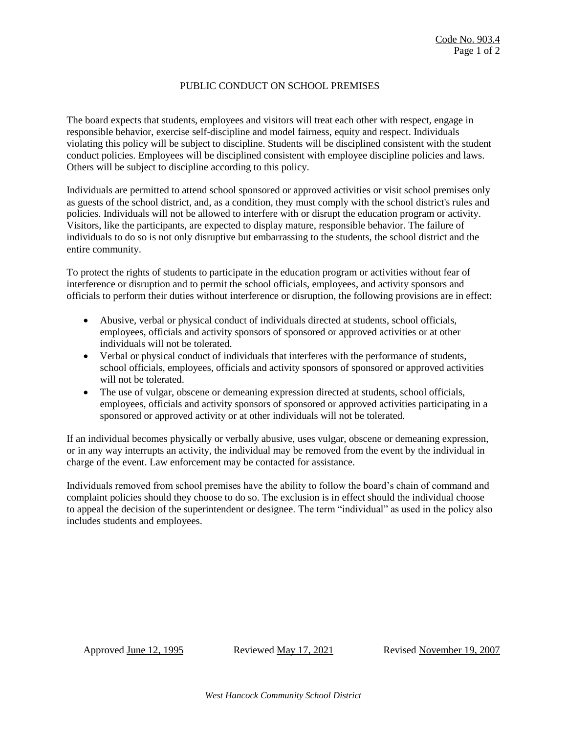## PUBLIC CONDUCT ON SCHOOL PREMISES

The board expects that students, employees and visitors will treat each other with respect, engage in responsible behavior, exercise self-discipline and model fairness, equity and respect. Individuals violating this policy will be subject to discipline. Students will be disciplined consistent with the student conduct policies. Employees will be disciplined consistent with employee discipline policies and laws. Others will be subject to discipline according to this policy.

Individuals are permitted to attend school sponsored or approved activities or visit school premises only as guests of the school district, and, as a condition, they must comply with the school district's rules and policies. Individuals will not be allowed to interfere with or disrupt the education program or activity. Visitors, like the participants, are expected to display mature, responsible behavior. The failure of individuals to do so is not only disruptive but embarrassing to the students, the school district and the entire community.

To protect the rights of students to participate in the education program or activities without fear of interference or disruption and to permit the school officials, employees, and activity sponsors and officials to perform their duties without interference or disruption, the following provisions are in effect:

- Abusive, verbal or physical conduct of individuals directed at students, school officials, employees, officials and activity sponsors of sponsored or approved activities or at other individuals will not be tolerated.
- Verbal or physical conduct of individuals that interferes with the performance of students, school officials, employees, officials and activity sponsors of sponsored or approved activities will not be tolerated.
- The use of vulgar, obscene or demeaning expression directed at students, school officials, employees, officials and activity sponsors of sponsored or approved activities participating in a sponsored or approved activity or at other individuals will not be tolerated.

If an individual becomes physically or verbally abusive, uses vulgar, obscene or demeaning expression, or in any way interrupts an activity, the individual may be removed from the event by the individual in charge of the event. Law enforcement may be contacted for assistance.

Individuals removed from school premises have the ability to follow the board's chain of command and complaint policies should they choose to do so. The exclusion is in effect should the individual choose to appeal the decision of the superintendent or designee. The term "individual" as used in the policy also includes students and employees.

Approved June 12, 1995 Reviewed May 17, 2021 Revised November 19, 2007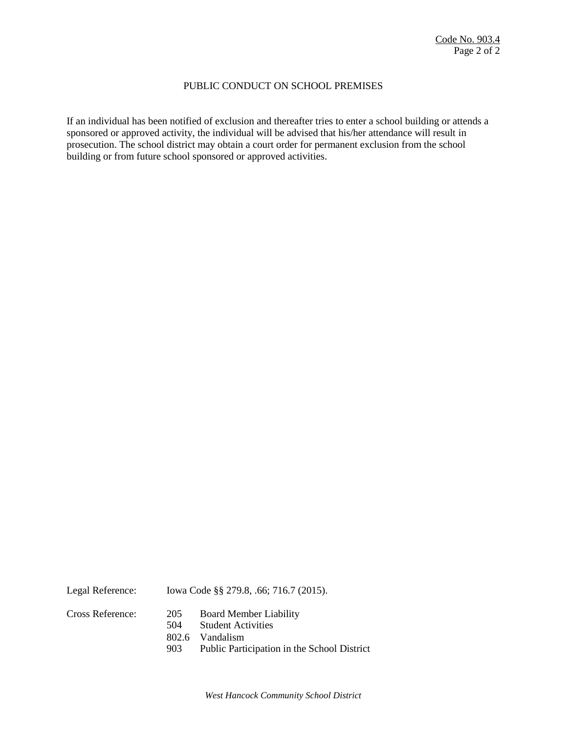### PUBLIC CONDUCT ON SCHOOL PREMISES

If an individual has been notified of exclusion and thereafter tries to enter a school building or attends a sponsored or approved activity, the individual will be advised that his/her attendance will result in prosecution. The school district may obtain a court order for permanent exclusion from the school building or from future school sponsored or approved activities.

| Legal Reference: |            | lowa Code §§ 279.8, .66; 716.7 (2015).                     |  |  |
|------------------|------------|------------------------------------------------------------|--|--|
| Cross Reference: | 205<br>504 | <b>Board Member Liability</b><br><b>Student Activities</b> |  |  |
|                  |            | 802.6 Vandalism                                            |  |  |
|                  | 903        | Public Participation in the School District                |  |  |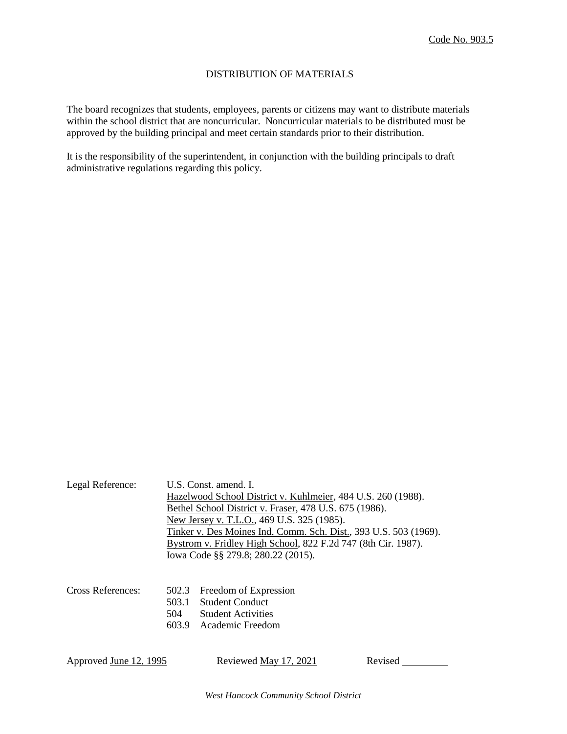## DISTRIBUTION OF MATERIALS

The board recognizes that students, employees, parents or citizens may want to distribute materials within the school district that are noncurricular. Noncurricular materials to be distributed must be approved by the building principal and meet certain standards prior to their distribution.

It is the responsibility of the superintendent, in conjunction with the building principals to draft administrative regulations regarding this policy.

| Legal Reference:              | U.S. Const. amend. I.                                                                                                             |                                                        |         |  |  |  |
|-------------------------------|-----------------------------------------------------------------------------------------------------------------------------------|--------------------------------------------------------|---------|--|--|--|
|                               | Hazelwood School District v. Kuhlmeier, 484 U.S. 260 (1988).                                                                      |                                                        |         |  |  |  |
|                               |                                                                                                                                   | Bethel School District v. Fraser, 478 U.S. 675 (1986). |         |  |  |  |
|                               |                                                                                                                                   | New Jersey v. T.L.O., 469 U.S. 325 (1985).             |         |  |  |  |
|                               | Tinker v. Des Moines Ind. Comm. Sch. Dist., 393 U.S. 503 (1969).<br>Bystrom v. Fridley High School, 822 F.2d 747 (8th Cir. 1987). |                                                        |         |  |  |  |
|                               |                                                                                                                                   |                                                        |         |  |  |  |
|                               |                                                                                                                                   | Iowa Code §§ 279.8; 280.22 (2015).                     |         |  |  |  |
|                               |                                                                                                                                   |                                                        |         |  |  |  |
| Cross References:             | 502.3                                                                                                                             | Freedom of Expression                                  |         |  |  |  |
|                               | 503.1                                                                                                                             | <b>Student Conduct</b>                                 |         |  |  |  |
|                               | 504                                                                                                                               | <b>Student Activities</b>                              |         |  |  |  |
|                               | 603.9                                                                                                                             | Academic Freedom                                       |         |  |  |  |
|                               |                                                                                                                                   |                                                        |         |  |  |  |
| Approved <u>June 12, 1995</u> |                                                                                                                                   | Reviewed May 17, 2021                                  | Revised |  |  |  |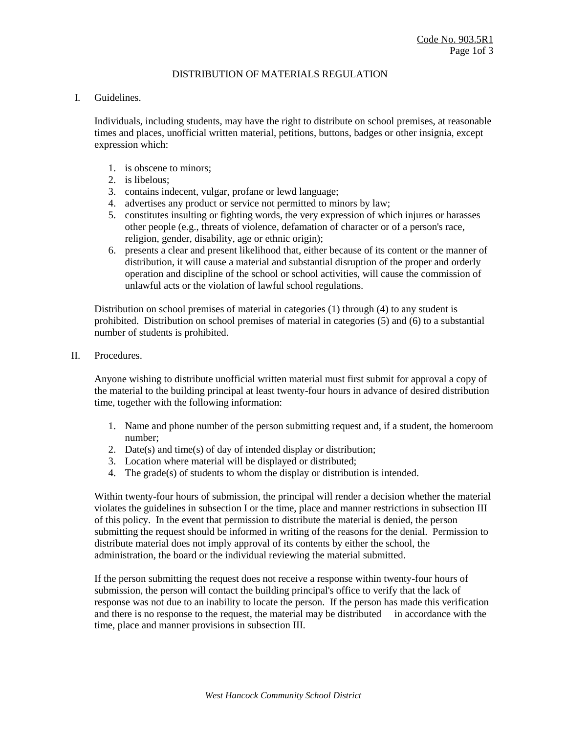### DISTRIBUTION OF MATERIALS REGULATION

### I. Guidelines.

Individuals, including students, may have the right to distribute on school premises, at reasonable times and places, unofficial written material, petitions, buttons, badges or other insignia, except expression which:

- 1. is obscene to minors;
- 2. is libelous;
- 3. contains indecent, vulgar, profane or lewd language;
- 4. advertises any product or service not permitted to minors by law;
- 5. constitutes insulting or fighting words, the very expression of which injures or harasses other people (e.g., threats of violence, defamation of character or of a person's race, religion, gender, disability, age or ethnic origin);
- 6. presents a clear and present likelihood that, either because of its content or the manner of distribution, it will cause a material and substantial disruption of the proper and orderly operation and discipline of the school or school activities, will cause the commission of unlawful acts or the violation of lawful school regulations.

Distribution on school premises of material in categories (1) through (4) to any student is prohibited. Distribution on school premises of material in categories (5) and (6) to a substantial number of students is prohibited.

II. Procedures.

Anyone wishing to distribute unofficial written material must first submit for approval a copy of the material to the building principal at least twenty-four hours in advance of desired distribution time, together with the following information:

- 1. Name and phone number of the person submitting request and, if a student, the homeroom number;
- 2. Date(s) and time(s) of day of intended display or distribution;
- 3. Location where material will be displayed or distributed;
- 4. The grade(s) of students to whom the display or distribution is intended.

Within twenty-four hours of submission, the principal will render a decision whether the material violates the guidelines in subsection I or the time, place and manner restrictions in subsection III of this policy. In the event that permission to distribute the material is denied, the person submitting the request should be informed in writing of the reasons for the denial. Permission to distribute material does not imply approval of its contents by either the school, the administration, the board or the individual reviewing the material submitted.

If the person submitting the request does not receive a response within twenty-four hours of submission, the person will contact the building principal's office to verify that the lack of response was not due to an inability to locate the person. If the person has made this verification and there is no response to the request, the material may be distributed in accordance with the time, place and manner provisions in subsection III.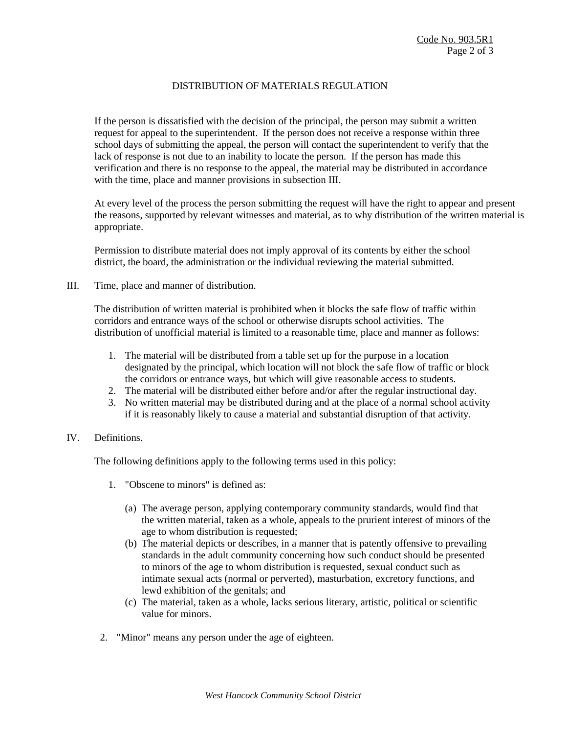## DISTRIBUTION OF MATERIALS REGULATION

If the person is dissatisfied with the decision of the principal, the person may submit a written request for appeal to the superintendent. If the person does not receive a response within three school days of submitting the appeal, the person will contact the superintendent to verify that the lack of response is not due to an inability to locate the person. If the person has made this verification and there is no response to the appeal, the material may be distributed in accordance with the time, place and manner provisions in subsection III.

At every level of the process the person submitting the request will have the right to appear and present the reasons, supported by relevant witnesses and material, as to why distribution of the written material is appropriate.

Permission to distribute material does not imply approval of its contents by either the school district, the board, the administration or the individual reviewing the material submitted.

III. Time, place and manner of distribution.

The distribution of written material is prohibited when it blocks the safe flow of traffic within corridors and entrance ways of the school or otherwise disrupts school activities. The distribution of unofficial material is limited to a reasonable time, place and manner as follows:

- 1. The material will be distributed from a table set up for the purpose in a location designated by the principal, which location will not block the safe flow of traffic or block the corridors or entrance ways, but which will give reasonable access to students.
- 2. The material will be distributed either before and/or after the regular instructional day.
- 3. No written material may be distributed during and at the place of a normal school activity if it is reasonably likely to cause a material and substantial disruption of that activity.

## IV. Definitions.

The following definitions apply to the following terms used in this policy:

- 1. "Obscene to minors" is defined as:
	- (a) The average person, applying contemporary community standards, would find that the written material, taken as a whole, appeals to the prurient interest of minors of the age to whom distribution is requested;
	- (b) The material depicts or describes, in a manner that is patently offensive to prevailing standards in the adult community concerning how such conduct should be presented to minors of the age to whom distribution is requested, sexual conduct such as intimate sexual acts (normal or perverted), masturbation, excretory functions, and lewd exhibition of the genitals; and
	- (c) The material, taken as a whole, lacks serious literary, artistic, political or scientific value for minors.
- 2. "Minor" means any person under the age of eighteen.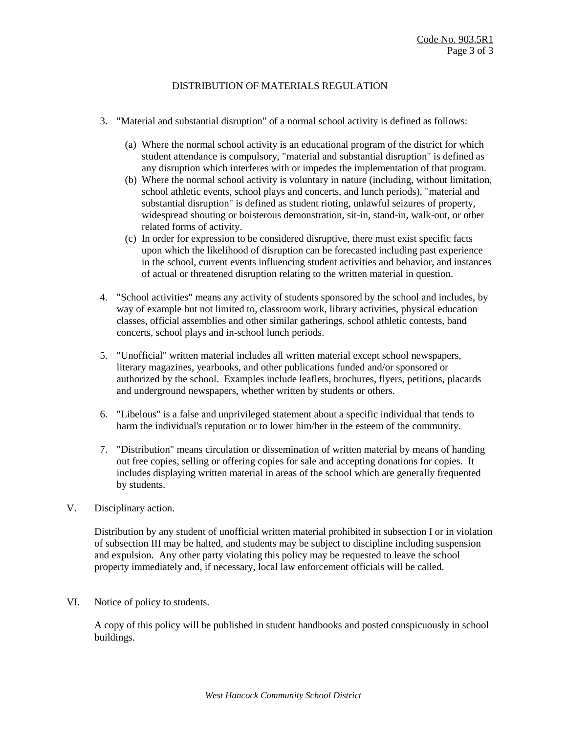## DISTRIBUTION OF MATERIALS REGULATION

- 3. "Material and substantial disruption" of a normal school activity is defined as follows:
	- (a) Where the normal school activity is an educational program of the district for which student attendance is compulsory, "material and substantial disruption" is defined as any disruption which interferes with or impedes the implementation of that program.
	- (b) Where the normal school activity is voluntary in nature (including, without limitation, school athletic events, school plays and concerts, and lunch periods), "material and substantial disruption" is defined as student rioting, unlawful seizures of property, widespread shouting or boisterous demonstration, sit-in, stand-in, walk-out, or other related forms of activity.
	- (c) In order for expression to be considered disruptive, there must exist specific facts upon which the likelihood of disruption can be forecasted including past experience in the school, current events influencing student activities and behavior, and instances of actual or threatened disruption relating to the written material in question.
- 4. "School activities" means any activity of students sponsored by the school and includes, by way of example but not limited to, classroom work, library activities, physical education classes, official assemblies and other similar gatherings, school athletic contests, band concerts, school plays and in-school lunch periods.
- 5. "Unofficial" written material includes all written material except school newspapers, literary magazines, yearbooks, and other publications funded and/or sponsored or authorized by the school. Examples include leaflets, brochures, flyers, petitions, placards and underground newspapers, whether written by students or others.
- 6. "Libelous" is a false and unprivileged statement about a specific individual that tends to harm the individual's reputation or to lower him/her in the esteem of the community.
- 7. "Distribution" means circulation or dissemination of written material by means of handing out free copies, selling or offering copies for sale and accepting donations for copies. It includes displaying written material in areas of the school which are generally frequented by students.
- V. Disciplinary action.

Distribution by any student of unofficial written material prohibited in subsection I or in violation of subsection III may be halted, and students may be subject to discipline including suspension and expulsion. Any other party violating this policy may be requested to leave the school property immediately and, if necessary, local law enforcement officials will be called.

VI. Notice of policy to students.

A copy of this policy will be published in student handbooks and posted conspicuously in school buildings.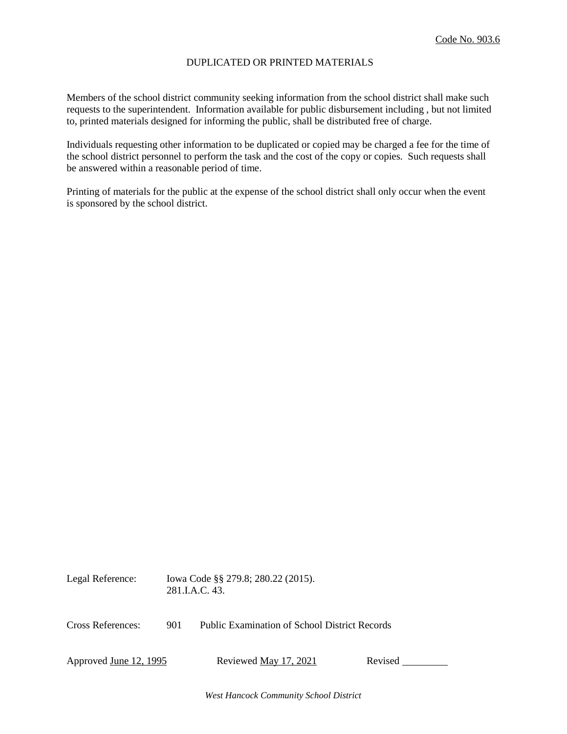## DUPLICATED OR PRINTED MATERIALS

Members of the school district community seeking information from the school district shall make such requests to the superintendent. Information available for public disbursement including , but not limited to, printed materials designed for informing the public, shall be distributed free of charge.

Individuals requesting other information to be duplicated or copied may be charged a fee for the time of the school district personnel to perform the task and the cost of the copy or copies. Such requests shall be answered within a reasonable period of time.

Printing of materials for the public at the expense of the school district shall only occur when the event is sponsored by the school district.

| Legal Reference:              | 281.I.A.C. 43. | Iowa Code §§ 279.8; 280.22 (2015).                   |         |
|-------------------------------|----------------|------------------------------------------------------|---------|
| <b>Cross References:</b>      | 901            | <b>Public Examination of School District Records</b> |         |
| Approved <u>June 12, 1995</u> |                | Reviewed May 17, 2021                                | Revised |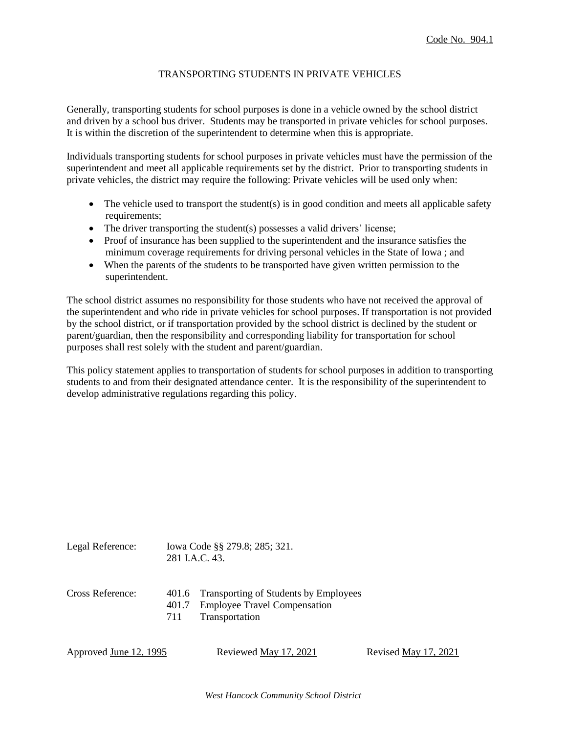### TRANSPORTING STUDENTS IN PRIVATE VEHICLES

Generally, transporting students for school purposes is done in a vehicle owned by the school district and driven by a school bus driver. Students may be transported in private vehicles for school purposes. It is within the discretion of the superintendent to determine when this is appropriate.

Individuals transporting students for school purposes in private vehicles must have the permission of the superintendent and meet all applicable requirements set by the district. Prior to transporting students in private vehicles, the district may require the following: Private vehicles will be used only when:

- $\bullet$  The vehicle used to transport the student(s) is in good condition and meets all applicable safety requirements:
- The driver transporting the student(s) possesses a valid drivers' license;
- Proof of insurance has been supplied to the superintendent and the insurance satisfies the minimum coverage requirements for driving personal vehicles in the State of Iowa ; and
- When the parents of the students to be transported have given written permission to the superintendent.

The school district assumes no responsibility for those students who have not received the approval of the superintendent and who ride in private vehicles for school purposes. If transportation is not provided by the school district, or if transportation provided by the school district is declined by the student or parent/guardian, then the responsibility and corresponding liability for transportation for school purposes shall rest solely with the student and parent/guardian.

This policy statement applies to transportation of students for school purposes in addition to transporting students to and from their designated attendance center. It is the responsibility of the superintendent to develop administrative regulations regarding this policy.

Legal Reference: Iowa Code §§ 279.8; 285; 321. 281 I.A.C. 43.

- Cross Reference: 401.6 Transporting of Students by Employees
	- 401.7 Employee Travel Compensation
	- 711 Transportation

```
Approved <u>June 12, 1995</u> Reviewed <u>May 17, 2021</u> Revised <u>May 17, 2021</u>
```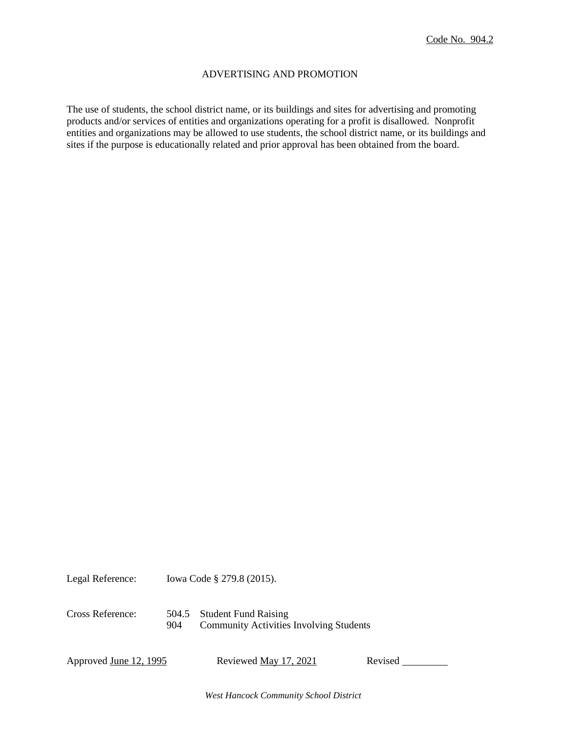### ADVERTISING AND PROMOTION

The use of students, the school district name, or its buildings and sites for advertising and promoting products and/or services of entities and organizations operating for a profit is disallowed. Nonprofit entities and organizations may be allowed to use students, the school district name, or its buildings and sites if the purpose is educationally related and prior approval has been obtained from the board.

Legal Reference: Iowa Code § 279.8 (2015). Cross Reference: 504.5 Student Fund Raising 904 Community Activities Involving Students

Approved <u>June 12, 1995</u> Reviewed <u>May 17, 2021</u> Revised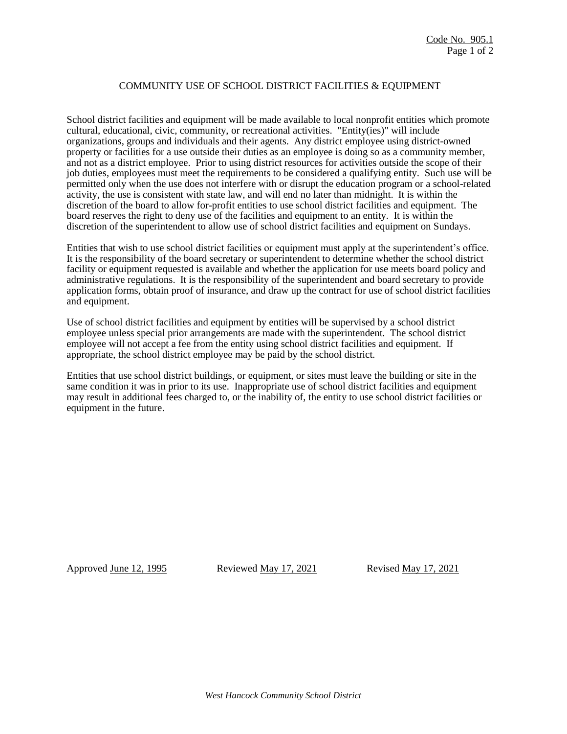## COMMUNITY USE OF SCHOOL DISTRICT FACILITIES & EQUIPMENT

School district facilities and equipment will be made available to local nonprofit entities which promote cultural, educational, civic, community, or recreational activities. "Entity(ies)" will include organizations, groups and individuals and their agents. Any district employee using district-owned property or facilities for a use outside their duties as an employee is doing so as a community member, and not as a district employee. Prior to using district resources for activities outside the scope of their job duties, employees must meet the requirements to be considered a qualifying entity. Such use will be permitted only when the use does not interfere with or disrupt the education program or a school-related activity, the use is consistent with state law, and will end no later than midnight. It is within the discretion of the board to allow for-profit entities to use school district facilities and equipment. The board reserves the right to deny use of the facilities and equipment to an entity. It is within the discretion of the superintendent to allow use of school district facilities and equipment on Sundays.

Entities that wish to use school district facilities or equipment must apply at the superintendent's office. It is the responsibility of the board secretary or superintendent to determine whether the school district facility or equipment requested is available and whether the application for use meets board policy and administrative regulations. It is the responsibility of the superintendent and board secretary to provide application forms, obtain proof of insurance, and draw up the contract for use of school district facilities and equipment.

Use of school district facilities and equipment by entities will be supervised by a school district employee unless special prior arrangements are made with the superintendent. The school district employee will not accept a fee from the entity using school district facilities and equipment. If appropriate, the school district employee may be paid by the school district.

Entities that use school district buildings, or equipment, or sites must leave the building or site in the same condition it was in prior to its use. Inappropriate use of school district facilities and equipment may result in additional fees charged to, or the inability of, the entity to use school district facilities or equipment in the future.

Approved June 12, 1995 Reviewed May 17, 2021 Revised May 17, 2021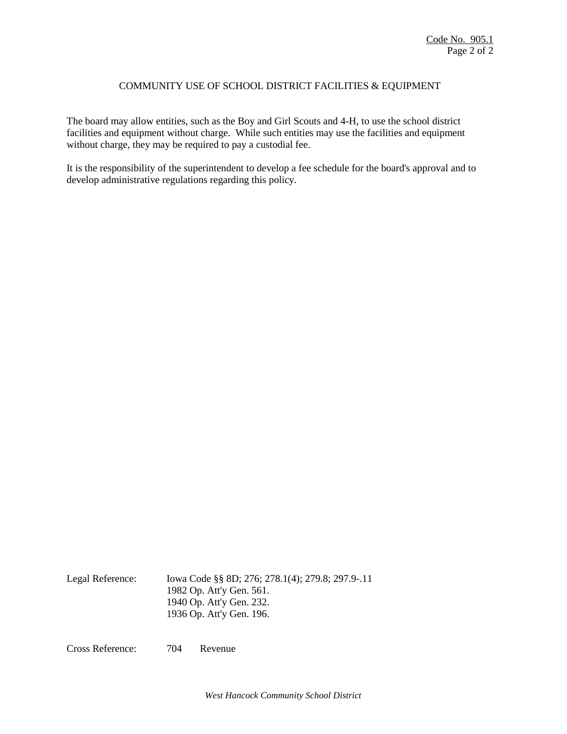## COMMUNITY USE OF SCHOOL DISTRICT FACILITIES & EQUIPMENT

The board may allow entities, such as the Boy and Girl Scouts and 4-H, to use the school district facilities and equipment without charge. While such entities may use the facilities and equipment without charge, they may be required to pay a custodial fee.

It is the responsibility of the superintendent to develop a fee schedule for the board's approval and to develop administrative regulations regarding this policy.

Legal Reference: Iowa Code §§ 8D; 276; 278.1(4); 279.8; 297.9-.11 1982 Op. Att'y Gen. 561. 1940 Op. Att'y Gen. 232. 1936 Op. Att'y Gen. 196.

Cross Reference: 704 Revenue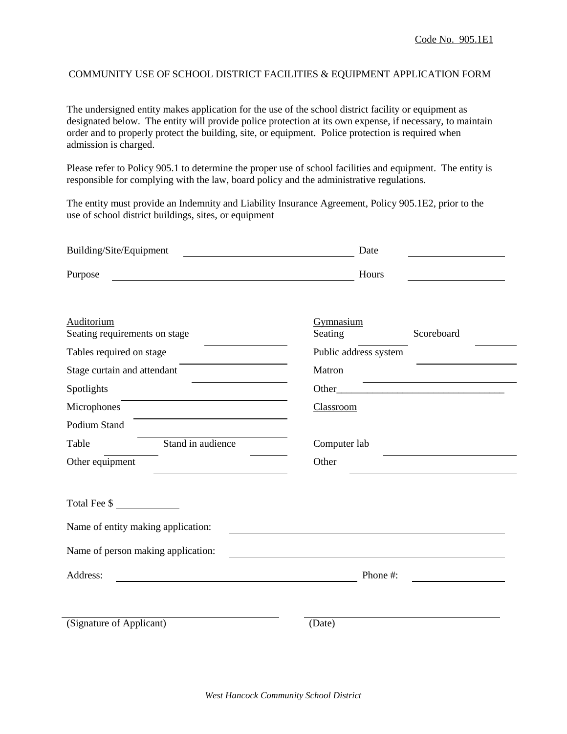## COMMUNITY USE OF SCHOOL DISTRICT FACILITIES & EQUIPMENT APPLICATION FORM

The undersigned entity makes application for the use of the school district facility or equipment as designated below. The entity will provide police protection at its own expense, if necessary, to maintain order and to properly protect the building, site, or equipment. Police protection is required when admission is charged.

Please refer to Policy 905.1 to determine the proper use of school facilities and equipment. The entity is responsible for complying with the law, board policy and the administrative regulations.

The entity must provide an Indemnity and Liability Insurance Agreement, Policy 905.1E2, prior to the use of school district buildings, sites, or equipment

| Building/Site/Equipment                                                                                                         | Date                               |
|---------------------------------------------------------------------------------------------------------------------------------|------------------------------------|
| Purpose<br><u> 1980 - Johann Barn, mars ann an t-Amhain Aonaich an t-Aonaich an t-Aonaich ann an t-Aonaich ann an t-Aonaich</u> | Hours                              |
| Auditorium<br>Seating requirements on stage                                                                                     | Gymnasium<br>Seating<br>Scoreboard |
| Tables required on stage                                                                                                        | Public address system              |
| Stage curtain and attendant                                                                                                     | Matron                             |
| Spotlights                                                                                                                      |                                    |
| Microphones                                                                                                                     | Classroom                          |
| Podium Stand                                                                                                                    |                                    |
| Stand in audience<br>Table                                                                                                      | Computer lab                       |
| Other equipment                                                                                                                 | Other                              |
|                                                                                                                                 |                                    |
| Total Fee \$                                                                                                                    |                                    |
| Name of entity making application:                                                                                              |                                    |
| Name of person making application:                                                                                              |                                    |
| Address:                                                                                                                        | Phone #:                           |
| (Signature of Applicant)                                                                                                        | (Date)                             |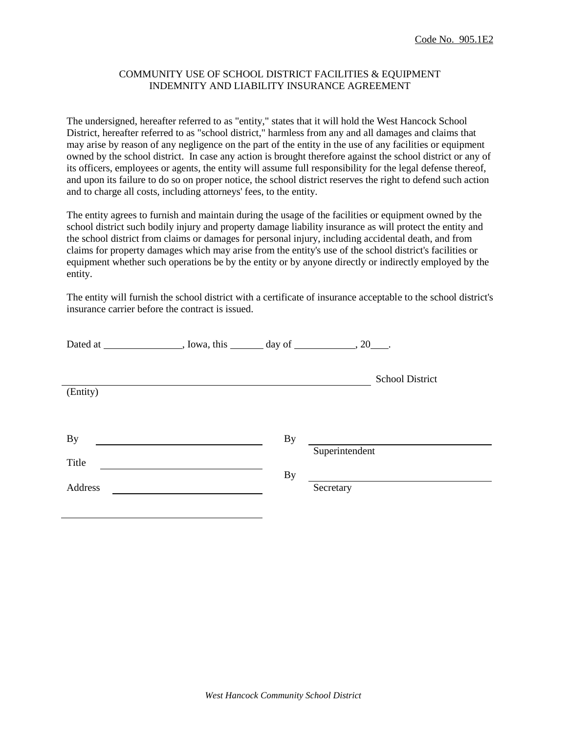## COMMUNITY USE OF SCHOOL DISTRICT FACILITIES & EQUIPMENT INDEMNITY AND LIABILITY INSURANCE AGREEMENT

The undersigned, hereafter referred to as "entity," states that it will hold the West Hancock School District, hereafter referred to as "school district," harmless from any and all damages and claims that may arise by reason of any negligence on the part of the entity in the use of any facilities or equipment owned by the school district. In case any action is brought therefore against the school district or any of its officers, employees or agents, the entity will assume full responsibility for the legal defense thereof, and upon its failure to do so on proper notice, the school district reserves the right to defend such action and to charge all costs, including attorneys' fees, to the entity.

The entity agrees to furnish and maintain during the usage of the facilities or equipment owned by the school district such bodily injury and property damage liability insurance as will protect the entity and the school district from claims or damages for personal injury, including accidental death, and from claims for property damages which may arise from the entity's use of the school district's facilities or equipment whether such operations be by the entity or by anyone directly or indirectly employed by the entity.

The entity will furnish the school district with a certificate of insurance acceptable to the school district's insurance carrier before the contract is issued.

| Dated at _________________, Iowa, this ________ day of ____________, 20____. |           |                 |
|------------------------------------------------------------------------------|-----------|-----------------|
|                                                                              |           | School District |
| (Entity)                                                                     |           |                 |
|                                                                              |           |                 |
| <b>By</b>                                                                    | By        | Superintendent  |
| Title                                                                        |           |                 |
| Address                                                                      | <b>By</b> | Secretary       |
|                                                                              |           |                 |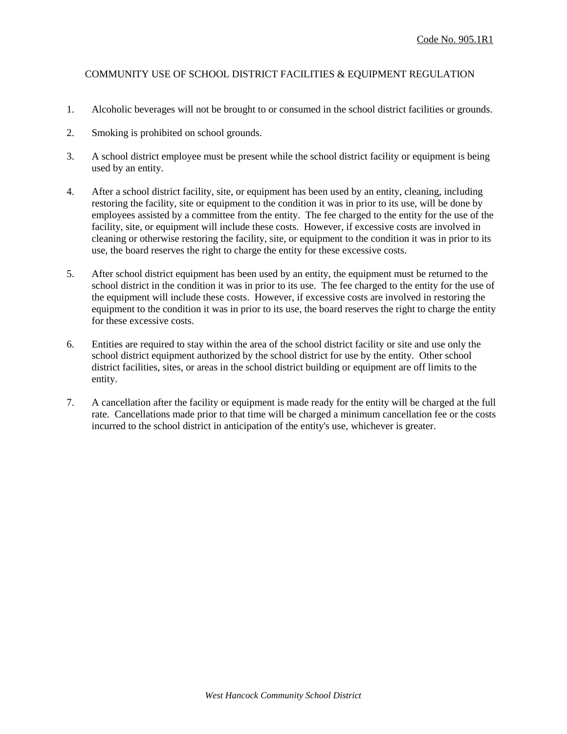## COMMUNITY USE OF SCHOOL DISTRICT FACILITIES & EQUIPMENT REGULATION

- 1. Alcoholic beverages will not be brought to or consumed in the school district facilities or grounds.
- 2. Smoking is prohibited on school grounds.
- 3. A school district employee must be present while the school district facility or equipment is being used by an entity.
- 4. After a school district facility, site, or equipment has been used by an entity, cleaning, including restoring the facility, site or equipment to the condition it was in prior to its use, will be done by employees assisted by a committee from the entity. The fee charged to the entity for the use of the facility, site, or equipment will include these costs. However, if excessive costs are involved in cleaning or otherwise restoring the facility, site, or equipment to the condition it was in prior to its use, the board reserves the right to charge the entity for these excessive costs.
- 5. After school district equipment has been used by an entity, the equipment must be returned to the school district in the condition it was in prior to its use. The fee charged to the entity for the use of the equipment will include these costs. However, if excessive costs are involved in restoring the equipment to the condition it was in prior to its use, the board reserves the right to charge the entity for these excessive costs.
- 6. Entities are required to stay within the area of the school district facility or site and use only the school district equipment authorized by the school district for use by the entity. Other school district facilities, sites, or areas in the school district building or equipment are off limits to the entity.
- 7. A cancellation after the facility or equipment is made ready for the entity will be charged at the full rate. Cancellations made prior to that time will be charged a minimum cancellation fee or the costs incurred to the school district in anticipation of the entity's use, whichever is greater.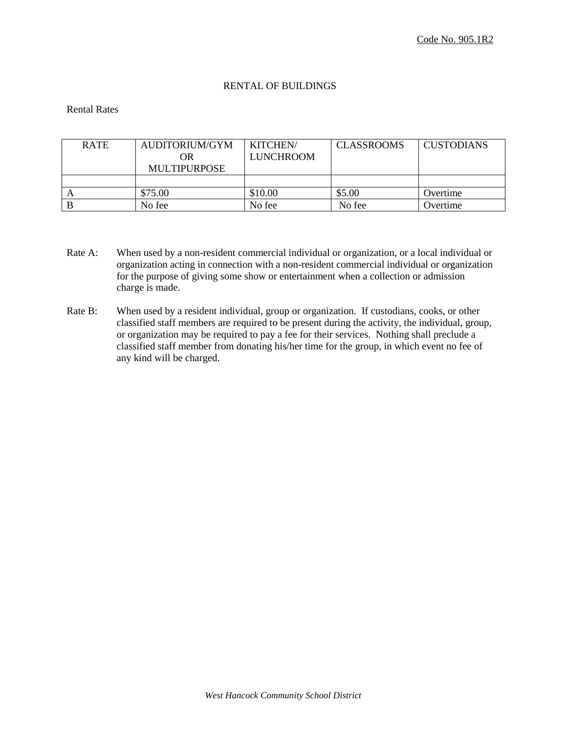## RENTAL OF BUILDINGS

### Rental Rates

| <b>RATE</b> | AUDITORIUM/GYM      | <b>KITCHEN/</b>  | <b>CLASSROOMS</b> | <b>CUSTODIANS</b> |
|-------------|---------------------|------------------|-------------------|-------------------|
|             | OR                  | <b>LUNCHROOM</b> |                   |                   |
|             | <b>MULTIPURPOSE</b> |                  |                   |                   |
|             |                     |                  |                   |                   |
|             | \$75.00             | \$10.00          | \$5.00            | Overtime          |
|             | No fee              | No fee           | No fee            | Overtime          |

- Rate A: When used by a non-resident commercial individual or organization, or a local individual or organization acting in connection with a non-resident commercial individual or organization for the purpose of giving some show or entertainment when a collection or admission charge is made.
- Rate B: When used by a resident individual, group or organization. If custodians, cooks, or other classified staff members are required to be present during the activity, the individual, group, or organization may be required to pay a fee for their services. Nothing shall preclude a classified staff member from donating his/her time for the group, in which event no fee of any kind will be charged.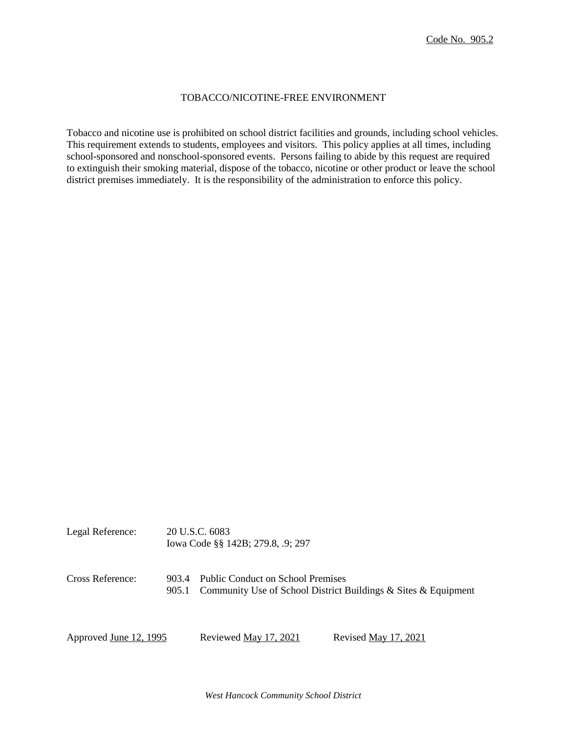#### TOBACCO/NICOTINE-FREE ENVIRONMENT

Tobacco and nicotine use is prohibited on school district facilities and grounds, including school vehicles. This requirement extends to students, employees and visitors. This policy applies at all times, including school-sponsored and nonschool-sponsored events. Persons failing to abide by this request are required to extinguish their smoking material, dispose of the tobacco, nicotine or other product or leave the school district premises immediately. It is the responsibility of the administration to enforce this policy.

| Cross Reference:<br>903.4 |  | Iowa Code §§ 142B; 279.8, .9; 297 |                                                                      |
|---------------------------|--|-----------------------------------|----------------------------------------------------------------------|
|                           |  | Public Conduct on School Premises | 905.1 Community Use of School District Buildings & Sites & Equipment |
| Approved June 12, 1995    |  | Reviewed May 17, 2021             | Revised May 17, 2021                                                 |

Legal Reference: 20 U.S.C. 6083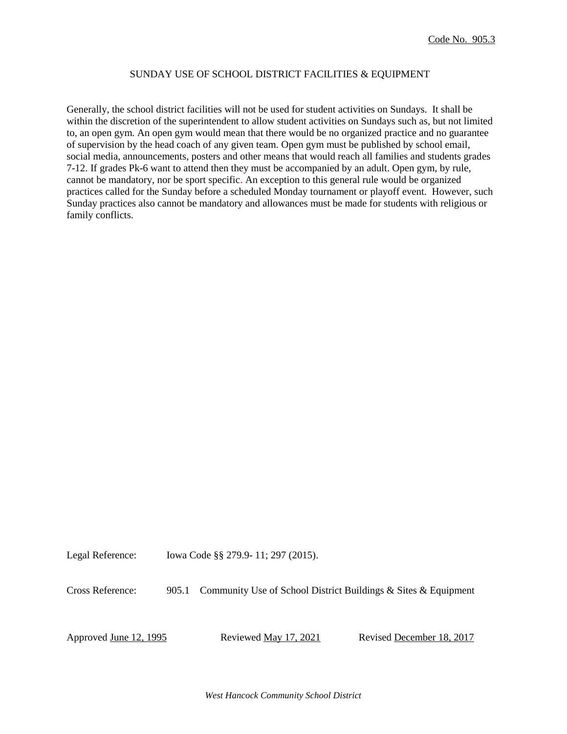#### SUNDAY USE OF SCHOOL DISTRICT FACILITIES & EQUIPMENT

Generally, the school district facilities will not be used for student activities on Sundays. It shall be within the discretion of the superintendent to allow student activities on Sundays such as, but not limited to, an open gym. An open gym would mean that there would be no organized practice and no guarantee of supervision by the head coach of any given team. Open gym must be published by school email, social media, announcements, posters and other means that would reach all families and students grades 7-12. If grades Pk-6 want to attend then they must be accompanied by an adult. Open gym, by rule, cannot be mandatory, nor be sport specific. An exception to this general rule would be organized practices called for the Sunday before a scheduled Monday tournament or playoff event. However, such Sunday practices also cannot be mandatory and allowances must be made for students with religious or family conflicts.

Legal Reference: Iowa Code §§ 279.9- 11; 297 (2015).

Cross Reference: 905.1 Community Use of School District Buildings & Sites & Equipment

Approved June 12, 1995 Reviewed May 17, 2021 Revised December 18, 2017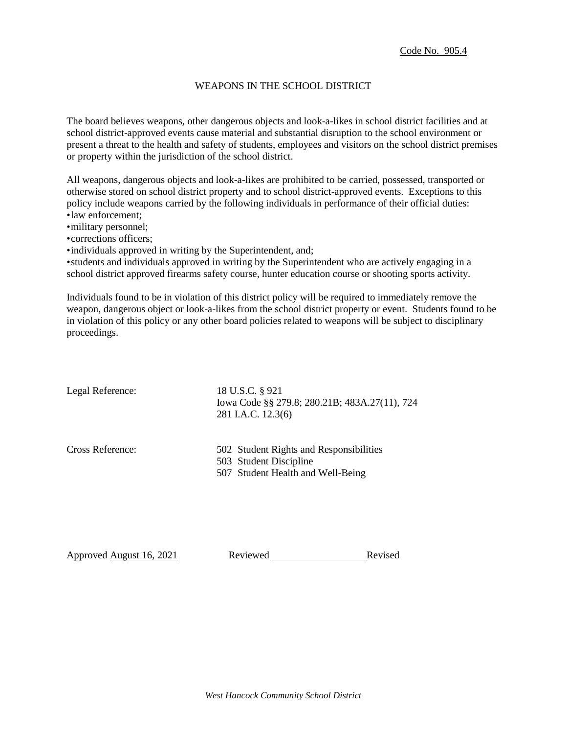### WEAPONS IN THE SCHOOL DISTRICT

The board believes weapons, other dangerous objects and look-a-likes in school district facilities and at school district-approved events cause material and substantial disruption to the school environment or present a threat to the health and safety of students, employees and visitors on the school district premises or property within the jurisdiction of the school district.

All weapons, dangerous objects and look-a-likes are prohibited to be carried, possessed, transported or otherwise stored on school district property and to school district-approved events. Exceptions to this policy include weapons carried by the following individuals in performance of their official duties: •law enforcement;

•military personnel;

•corrections officers;

•individuals approved in writing by the Superintendent, and;

•students and individuals approved in writing by the Superintendent who are actively engaging in a school district approved firearms safety course, hunter education course or shooting sports activity.

Individuals found to be in violation of this district policy will be required to immediately remove the weapon, dangerous object or look-a-likes from the school district property or event. Students found to be in violation of this policy or any other board policies related to weapons will be subject to disciplinary proceedings.

Legal Reference: 18 U.S.C. § 921 Iowa Code §§ 279.8; 280.21B; 483A.27(11), 724 281 I.A.C. 12.3(6) Cross Reference: 502 Student Rights and Responsibilities 503 Student Discipline 507 Student Health and Well-Being

Approved August 16, 2021 Reviewed Revised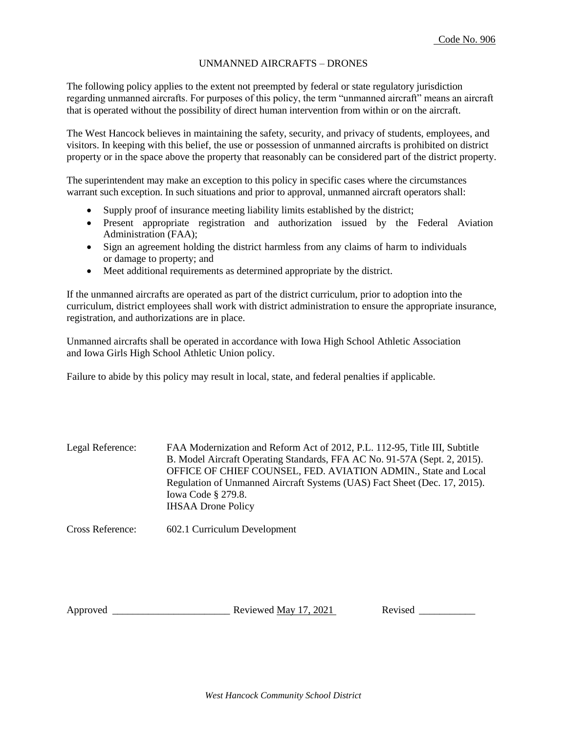### UNMANNED AIRCRAFTS – DRONES

The following policy applies to the extent not preempted by federal or state regulatory jurisdiction regarding unmanned aircrafts. For purposes of this policy, the term "unmanned aircraft" means an aircraft that is operated without the possibility of direct human intervention from within or on the aircraft.

The West Hancock believes in maintaining the safety, security, and privacy of students, employees, and visitors. In keeping with this belief, the use or possession of unmanned aircrafts is prohibited on district property or in the space above the property that reasonably can be considered part of the district property.

The superintendent may make an exception to this policy in specific cases where the circumstances warrant such exception. In such situations and prior to approval, unmanned aircraft operators shall:

- Supply proof of insurance meeting liability limits established by the district;
- Present appropriate registration and authorization issued by the Federal Aviation Administration (FAA);
- Sign an agreement holding the district harmless from any claims of harm to individuals or damage to property; and
- Meet additional requirements as determined appropriate by the district.

If the unmanned aircrafts are operated as part of the district curriculum, prior to adoption into the curriculum, district employees shall work with district administration to ensure the appropriate insurance, registration, and authorizations are in place.

Unmanned aircrafts shall be operated in accordance with Iowa High School Athletic Association and Iowa Girls High School Athletic Union policy.

Failure to abide by this policy may result in local, state, and federal penalties if applicable.

| Legal Reference: | FAA Modernization and Reform Act of 2012, P.L. 112-95, Title III, Subtitle |
|------------------|----------------------------------------------------------------------------|
|                  | B. Model Aircraft Operating Standards, FFA AC No. 91-57A (Sept. 2, 2015).  |
|                  | OFFICE OF CHIEF COUNSEL, FED. AVIATION ADMIN., State and Local             |
|                  | Regulation of Unmanned Aircraft Systems (UAS) Fact Sheet (Dec. 17, 2015).  |
|                  | Iowa Code $\S$ 279.8.                                                      |
|                  | <b>IHSAA Drone Policy</b>                                                  |

Cross Reference: 602.1 Curriculum Development

Approved \_\_\_\_\_\_\_\_\_\_\_\_\_\_\_\_\_\_\_\_\_\_\_ Reviewed May 17, 2021 Revised \_\_\_\_\_\_\_\_\_\_\_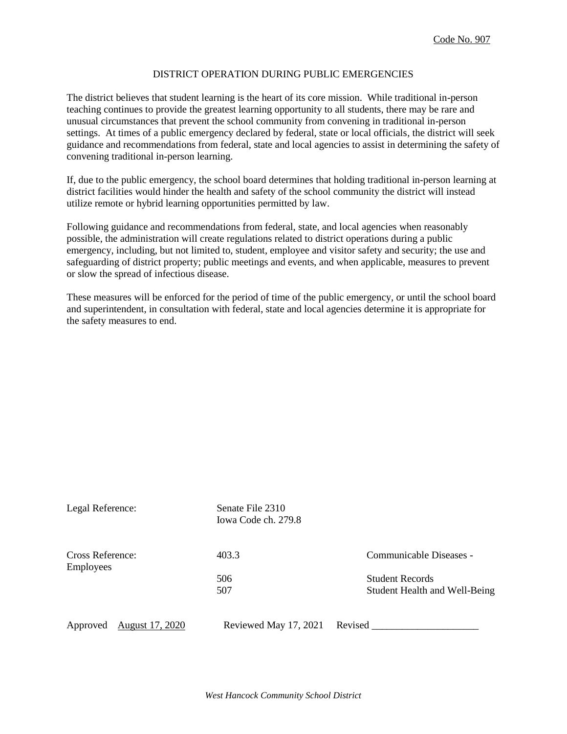#### DISTRICT OPERATION DURING PUBLIC EMERGENCIES

The district believes that student learning is the heart of its core mission. While traditional in-person teaching continues to provide the greatest learning opportunity to all students, there may be rare and unusual circumstances that prevent the school community from convening in traditional in-person settings. At times of a public emergency declared by federal, state or local officials, the district will seek guidance and recommendations from federal, state and local agencies to assist in determining the safety of convening traditional in-person learning.

If, due to the public emergency, the school board determines that holding traditional in-person learning at district facilities would hinder the health and safety of the school community the district will instead utilize remote or hybrid learning opportunities permitted by law.

Following guidance and recommendations from federal, state, and local agencies when reasonably possible, the administration will create regulations related to district operations during a public emergency, including, but not limited to, student, employee and visitor safety and security; the use and safeguarding of district property; public meetings and events, and when applicable, measures to prevent or slow the spread of infectious disease.

These measures will be enforced for the period of time of the public emergency, or until the school board and superintendent, in consultation with federal, state and local agencies determine it is appropriate for the safety measures to end.

| Legal Reference:                     | Senate File 2310<br>Iowa Code ch. 279.8 |                                      |
|--------------------------------------|-----------------------------------------|--------------------------------------|
| Cross Reference:<br><b>Employees</b> | 403.3                                   | Communicable Diseases -              |
|                                      | 506                                     | <b>Student Records</b>               |
|                                      | 507                                     | <b>Student Health and Well-Being</b> |
| August 17, 2020<br>Approved          | Reviewed May 17, 2021                   | Revised                              |